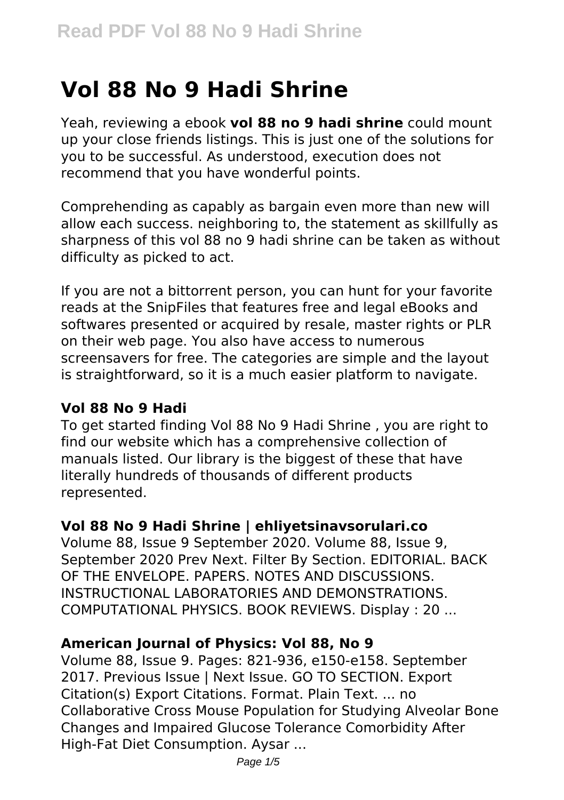# **Vol 88 No 9 Hadi Shrine**

Yeah, reviewing a ebook **vol 88 no 9 hadi shrine** could mount up your close friends listings. This is just one of the solutions for you to be successful. As understood, execution does not recommend that you have wonderful points.

Comprehending as capably as bargain even more than new will allow each success. neighboring to, the statement as skillfully as sharpness of this vol 88 no 9 hadi shrine can be taken as without difficulty as picked to act.

If you are not a bittorrent person, you can hunt for your favorite reads at the SnipFiles that features free and legal eBooks and softwares presented or acquired by resale, master rights or PLR on their web page. You also have access to numerous screensavers for free. The categories are simple and the layout is straightforward, so it is a much easier platform to navigate.

#### **Vol 88 No 9 Hadi**

To get started finding Vol 88 No 9 Hadi Shrine , you are right to find our website which has a comprehensive collection of manuals listed. Our library is the biggest of these that have literally hundreds of thousands of different products represented.

#### **Vol 88 No 9 Hadi Shrine | ehliyetsinavsorulari.co**

Volume 88, Issue 9 September 2020. Volume 88, Issue 9, September 2020 Prev Next. Filter By Section. EDITORIAL. BACK OF THE ENVELOPE. PAPERS. NOTES AND DISCUSSIONS. INSTRUCTIONAL LABORATORIES AND DEMONSTRATIONS. COMPUTATIONAL PHYSICS. BOOK REVIEWS. Display : 20 ...

#### **American Journal of Physics: Vol 88, No 9**

Volume 88, Issue 9. Pages: 821-936, e150-e158. September 2017. Previous Issue | Next Issue. GO TO SECTION. Export Citation(s) Export Citations. Format. Plain Text. ... no Collaborative Cross Mouse Population for Studying Alveolar Bone Changes and Impaired Glucose Tolerance Comorbidity After High‐Fat Diet Consumption. Aysar ...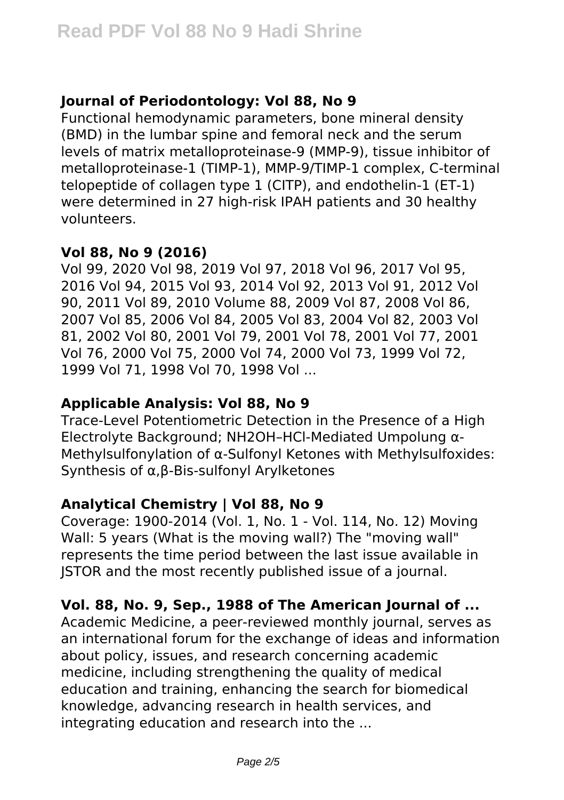# **Journal of Periodontology: Vol 88, No 9**

Functional hemodynamic parameters, bone mineral density (BMD) in the lumbar spine and femoral neck and the serum levels of matrix metalloproteinase-9 (MMP-9), tissue inhibitor of metalloproteinase-1 (TIMP-1), MMP-9/TIMP-1 complex, C-terminal telopeptide of collagen type 1 (CITP), and endothelin-1 (ET-1) were determined in 27 high-risk IPAH patients and 30 healthy volunteers.

#### **Vol 88, No 9 (2016)**

Vol 99, 2020 Vol 98, 2019 Vol 97, 2018 Vol 96, 2017 Vol 95, 2016 Vol 94, 2015 Vol 93, 2014 Vol 92, 2013 Vol 91, 2012 Vol 90, 2011 Vol 89, 2010 Volume 88, 2009 Vol 87, 2008 Vol 86, 2007 Vol 85, 2006 Vol 84, 2005 Vol 83, 2004 Vol 82, 2003 Vol 81, 2002 Vol 80, 2001 Vol 79, 2001 Vol 78, 2001 Vol 77, 2001 Vol 76, 2000 Vol 75, 2000 Vol 74, 2000 Vol 73, 1999 Vol 72, 1999 Vol 71, 1998 Vol 70, 1998 Vol ...

#### **Applicable Analysis: Vol 88, No 9**

Trace-Level Potentiometric Detection in the Presence of a High Electrolyte Background; NH2OH–HCl-Mediated Umpolung α-Methylsulfonylation of α-Sulfonyl Ketones with Methylsulfoxides: Synthesis of α,β-Bis-sulfonyl Arylketones

# **Analytical Chemistry | Vol 88, No 9**

Coverage: 1900-2014 (Vol. 1, No. 1 - Vol. 114, No. 12) Moving Wall: 5 years (What is the moving wall?) The "moving wall" represents the time period between the last issue available in JSTOR and the most recently published issue of a journal.

# **Vol. 88, No. 9, Sep., 1988 of The American Journal of ...**

Academic Medicine, a peer-reviewed monthly journal, serves as an international forum for the exchange of ideas and information about policy, issues, and research concerning academic medicine, including strengthening the quality of medical education and training, enhancing the search for biomedical knowledge, advancing research in health services, and integrating education and research into the ...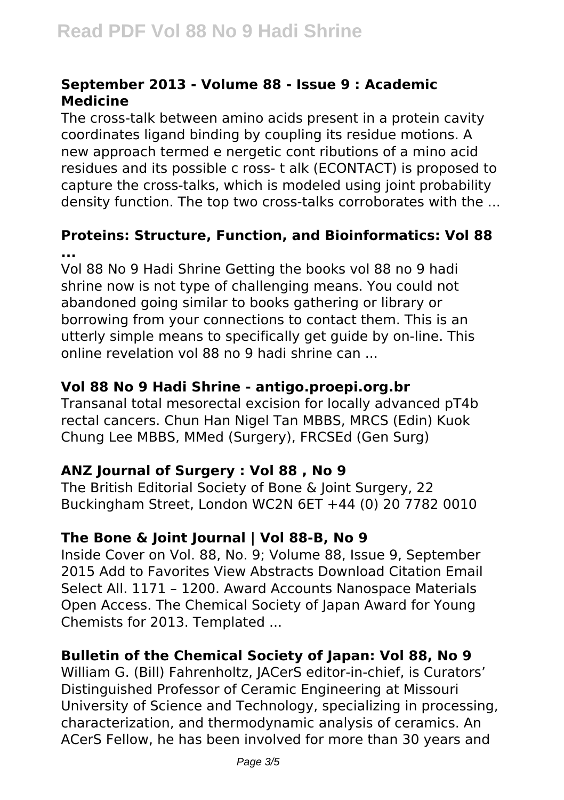#### **September 2013 - Volume 88 - Issue 9 : Academic Medicine**

The cross-talk between amino acids present in a protein cavity coordinates ligand binding by coupling its residue motions. A new approach termed e nergetic cont ributions of a mino acid residues and its possible c ross‐ t alk (ECONTACT) is proposed to capture the cross‐talks, which is modeled using joint probability density function. The top two cross‐talks corroborates with the ...

#### **Proteins: Structure, Function, and Bioinformatics: Vol 88 ...**

Vol 88 No 9 Hadi Shrine Getting the books vol 88 no 9 hadi shrine now is not type of challenging means. You could not abandoned going similar to books gathering or library or borrowing from your connections to contact them. This is an utterly simple means to specifically get guide by on-line. This online revelation vol 88 no 9 hadi shrine can ...

#### **Vol 88 No 9 Hadi Shrine - antigo.proepi.org.br**

Transanal total mesorectal excision for locally advanced pT4b rectal cancers. Chun Han Nigel Tan MBBS, MRCS (Edin) Kuok Chung Lee MBBS, MMed (Surgery), FRCSEd (Gen Surg)

# **ANZ Journal of Surgery : Vol 88 , No 9**

The British Editorial Society of Bone & Joint Surgery, 22 Buckingham Street, London WC2N 6ET +44 (0) 20 7782 0010

#### **The Bone & Joint Journal | Vol 88-B, No 9**

Inside Cover on Vol. 88, No. 9; Volume 88, Issue 9, September 2015 Add to Favorites View Abstracts Download Citation Email Select All. 1171 – 1200. Award Accounts Nanospace Materials Open Access. The Chemical Society of Japan Award for Young Chemists for 2013. Templated ...

# **Bulletin of the Chemical Society of Japan: Vol 88, No 9**

William G. (Bill) Fahrenholtz, JACerS editor-in-chief, is Curators' Distinguished Professor of Ceramic Engineering at Missouri University of Science and Technology, specializing in processing, characterization, and thermodynamic analysis of ceramics. An ACerS Fellow, he has been involved for more than 30 years and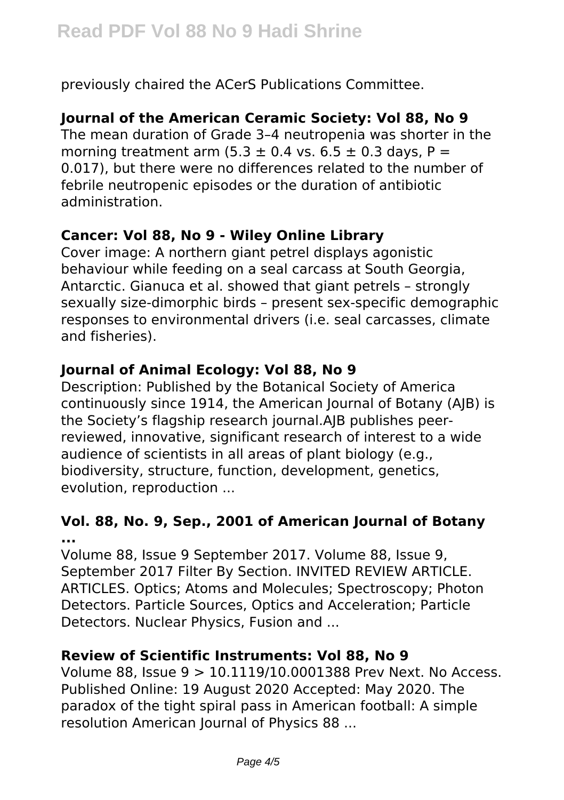previously chaired the ACerS Publications Committee.

## **Journal of the American Ceramic Society: Vol 88, No 9**

The mean duration of Grade 3–4 neutropenia was shorter in the morning treatment arm  $(5.3 \pm 0.4 \text{ vs. } 6.5 \pm 0.3 \text{ days. } P =$ 0.017), but there were no differences related to the number of febrile neutropenic episodes or the duration of antibiotic administration.

#### **Cancer: Vol 88, No 9 - Wiley Online Library**

Cover image: A northern giant petrel displays agonistic behaviour while feeding on a seal carcass at South Georgia, Antarctic. Gianuca et al. showed that giant petrels – strongly sexually size‐dimorphic birds – present sex‐specific demographic responses to environmental drivers (i.e. seal carcasses, climate and fisheries).

### **Journal of Animal Ecology: Vol 88, No 9**

Description: Published by the Botanical Society of America continuously since 1914, the American Journal of Botany (AJB) is the Society's flagship research journal.AJB publishes peerreviewed, innovative, significant research of interest to a wide audience of scientists in all areas of plant biology (e.g., biodiversity, structure, function, development, genetics, evolution, reproduction ...

#### **Vol. 88, No. 9, Sep., 2001 of American Journal of Botany ...**

Volume 88, Issue 9 September 2017. Volume 88, Issue 9, September 2017 Filter By Section. INVITED REVIEW ARTICLE. ARTICLES. Optics; Atoms and Molecules; Spectroscopy; Photon Detectors. Particle Sources, Optics and Acceleration; Particle Detectors. Nuclear Physics, Fusion and ...

# **Review of Scientific Instruments: Vol 88, No 9**

Volume 88, Issue 9 > 10.1119/10.0001388 Prev Next. No Access. Published Online: 19 August 2020 Accepted: May 2020. The paradox of the tight spiral pass in American football: A simple resolution American Journal of Physics 88 ...